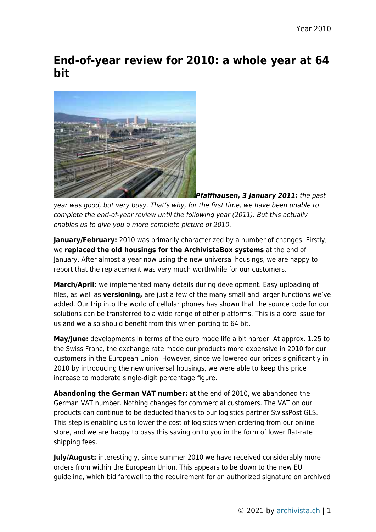## **End-of-year review for 2010: a whole year at 64 bit**



*Pfaffhausen, 3 January 2011:* the past year was good, but very busy. That's why, for the first time, we have been unable to complete the end-of-year review until the following year (2011). But this actually enables us to give you a more complete picture of 2010.

**January/February:** 2010 was primarily characterized by a number of changes. Firstly, we **replaced the old housings for the ArchivistaBox systems** at the end of January. After almost a year now using the new universal housings, we are happy to report that the replacement was very much worthwhile for our customers.

**March/April:** we implemented many details during development. Easy uploading of files, as well as **versioning,** are just a few of the many small and larger functions we've added. Our trip into the world of cellular phones has shown that the source code for our solutions can be transferred to a wide range of other platforms. This is a core issue for us and we also should benefit from this when porting to 64 bit.

**May/June:** developments in terms of the euro made life a bit harder. At approx. 1.25 to the Swiss Franc, the exchange rate made our products more expensive in 2010 for our customers in the European Union. However, since we lowered our prices significantly in 2010 by introducing the new universal housings, we were able to keep this price increase to moderate single-digit percentage figure.

**Abandoning the German VAT number:** at the end of 2010, we abandoned the German VAT number. Nothing changes for commercial customers. The VAT on our products can continue to be deducted thanks to our logistics partner SwissPost GLS. This step is enabling us to lower the cost of logistics when ordering from our online store, and we are happy to pass this saving on to you in the form of lower flat-rate shipping fees.

**July/August:** interestingly, since summer 2010 we have received considerably more orders from within the European Union. This appears to be down to the new EU guideline, which bid farewell to the requirement for an authorized signature on archived